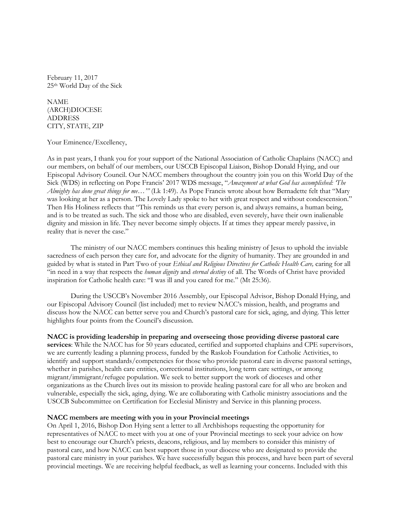February 11, 2017 25th World Day of the Sick

NAME (ARCH)DIOCESE ADDRESS CITY, STATE, ZIP

Your Eminence/Excellency,

As in past years, I thank you for your support of the National Association of Catholic Chaplains (NACC) and our members, on behalf of our members, our USCCB Episcopal Liaison, Bishop Donald Hying, and our Episcopal Advisory Council. Our NACC members throughout the country join you on this World Day of the Sick (WDS) in reflecting on Pope Francis' 2017 WDS message, "Amazement at what God has accomplished: 'The Almighty has done great things for me..."" (Lk 1:49). As Pope Francis wrote about how Bernadette felt that "Mary was looking at her as a person. The Lovely Lady spoke to her with great respect and without condescension." Then His Holiness reflects that "This reminds us that every person is, and always remains, a human being, and is to be treated as such. The sick and those who are disabled, even severely, have their own inalienable dignity and mission in life. They never become simply objects. If at times they appear merely passive, in reality that is never the case."

The ministry of our NACC members continues this healing ministry of Jesus to uphold the inviable sacredness of each person they care for, and advocate for the dignity of humanity. They are grounded in and guided by what is stated in Part Two of your Ethical and Religious Directives for Catholic Health Care, caring for all "in need in a way that respects the human dignity and eternal destiny of all. The Words of Christ have provided inspiration for Catholic health care: "I was ill and you cared for me." (Mt 25:36).

During the USCCB's November 2016 Assembly, our Episcopal Advisor, Bishop Donald Hying, and our Episcopal Advisory Council (list included) met to review NACC's mission, health, and programs and discuss how the NACC can better serve you and Church's pastoral care for sick, aging, and dying. This letter highlights four points from the Council's discussion.

NACC is providing leadership in preparing and overseeing those providing diverse pastoral care

services: While the NACC has for 50 years educated, certified and supported chaplains and CPE supervisors, we are currently leading a planning process, funded by the Raskob Foundation for Catholic Activities, to identify and support standards/competencies for those who provide pastoral care in diverse pastoral settings, whether in parishes, health care entities, correctional institutions, long term care settings, or among migrant/immigrant/refugee population. We seek to better support the work of dioceses and other organizations as the Church lives out its mission to provide healing pastoral care for all who are broken and vulnerable, especially the sick, aging, dying. We are collaborating with Catholic ministry associations and the USCCB Subcommittee on Certification for Ecclesial Ministry and Service in this planning process.

## NACC members are meeting with you in your Provincial meetings

On April 1, 2016, Bishop Don Hying sent a letter to all Archbishops requesting the opportunity for representatives of NACC to meet with you at one of your Provincial meetings to seek your advice on how best to encourage our Church's priests, deacons, religious, and lay members to consider this ministry of pastoral care, and how NACC can best support those in your diocese who are designated to provide the pastoral care ministry in your parishes. We have successfully begun this process, and have been part of several provincial meetings. We are receiving helpful feedback, as well as learning your concerns. Included with this